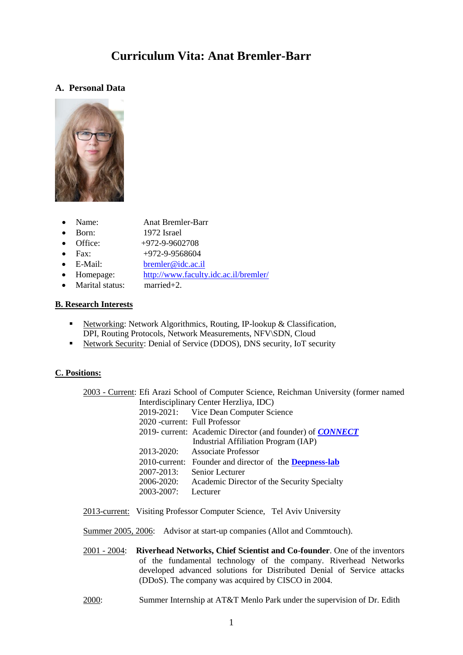# **Curriculum Vita: Anat Bremler-Barr**

# **A. Personal Data**



- Name: Anat Bremler-Barr
- Born: 1972 Israel
- Office: +972-9-9602708
- Fax:  $+972-9-9568604$
- E-Mail: [bremler@idc.ac.il](mailto:bremler@idc.ac.il)
	- Homepage: <http://www.faculty.idc.ac.il/bremler/>
- Marital status: married+2.

# **B. Research Interests**

- Networking: Network Algorithmics, Routing, IP-lookup & Classification, DPI, Routing Protocols, Network Measurements, NFV\SDN, Cloud
- Network Security: Denial of Service (DDOS), DNS security, IoT security

# **C. Positions:**

|                                | 2003 - Current: Efi Arazi School of Computer Science, Reichman University (former named |
|--------------------------------|-----------------------------------------------------------------------------------------|
|                                | Interdisciplinary Center Herzliya, IDC)                                                 |
|                                | 2019-2021: Vice Dean Computer Science                                                   |
| 2020 - current: Full Professor |                                                                                         |
|                                | 2019- current: Academic Director (and founder) of <b>CONNECT</b>                        |
|                                | Industrial Affiliation Program (IAP)                                                    |
|                                | 2013-2020: Associate Professor                                                          |
|                                | 2010-current: Founder and director of the <b>Deepness-lab</b>                           |
| 2007-2013:                     | Senior Lecturer                                                                         |
| 2006-2020:                     | Academic Director of the Security Specialty                                             |
| 2003-2007:                     | Lecturer                                                                                |
|                                |                                                                                         |

2013-current: Visiting Professor Computer Science, Tel Aviv University

Summer 2005, 2006: Advisor at start-up companies (Allot and Commtouch).

- 2001 2004: **Riverhead Networks, Chief Scientist and Co-founder**. One of the inventors of the fundamental technology of the company. Riverhead Networks developed advanced solutions for Distributed Denial of Service attacks (DDoS). The company was acquired by CISCO in 2004.
- 2000: Summer Internship at AT&T Menlo Park under the supervision of Dr. Edith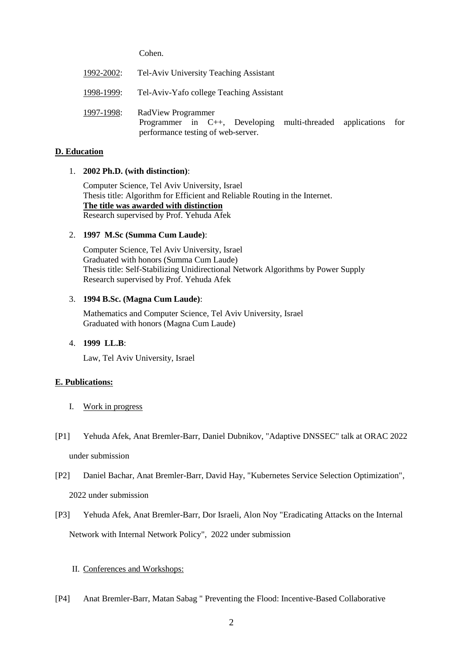Cohen.

| 1992-2002: | Tel-Aviv University Teaching Assistant                                                                                          |  |  |  |
|------------|---------------------------------------------------------------------------------------------------------------------------------|--|--|--|
| 1998-1999: | Tel-Aviv-Yafo college Teaching Assistant                                                                                        |  |  |  |
| 1997-1998: | RadView Programmer<br>Programmer in $C++$ , Developing<br>multi-threaded applications for<br>performance testing of web-server. |  |  |  |

### **D. Education**

### 1. **2002 Ph.D. (with distinction)**:

Computer Science, Tel Aviv University, Israel Thesis title: Algorithm for Efficient and Reliable Routing in the Internet. **The title was awarded with distinction** Research supervised by Prof. Yehuda Afek

### 2. **1997 M.Sc (Summa Cum Laude)**:

Computer Science, Tel Aviv University, Israel Graduated with honors (Summa Cum Laude) Thesis title: Self-Stabilizing Unidirectional Network Algorithms by Power Supply Research supervised by Prof. Yehuda Afek

### 3. **1994 B.Sc. (Magna Cum Laude)**:

Mathematics and Computer Science, Tel Aviv University, Israel Graduated with honors (Magna Cum Laude)

### 4. **1999 LL.B**:

Law, Tel Aviv University, Israel

### **E. Publications:**

- I. Work in progress
- [P1] Yehuda Afek, Anat Bremler-Barr, Daniel Dubnikov, "Adaptive DNSSEC" talk at ORAC 2022 under submission
- [P2] Daniel Bachar, Anat Bremler-Barr, David Hay, "Kubernetes Service Selection Optimization", 2022 under submission
- [P3] Yehuda Afek, Anat Bremler-Barr, Dor Israeli, Alon Noy "Eradicating Attacks on the Internal Network with Internal Network Policy", 2022 under submission

### II. Conferences and Workshops:

[P4] Anat Bremler-Barr, Matan Sabag " Preventing the Flood: Incentive-Based Collaborative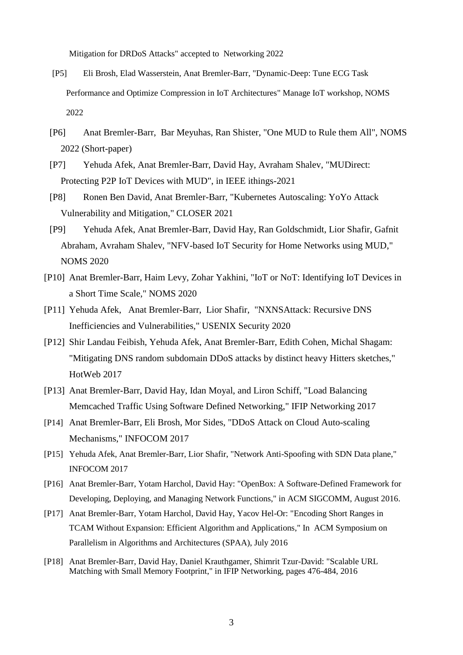Mitigation for DRDoS Attacks" accepted to Networking 2022

- [P5] [Eli Brosh,](https://arxiv.org/search/cs?searchtype=author&query=Brosh%2C+E) [Elad Wasserstein,](https://arxiv.org/search/cs?searchtype=author&query=Wasserstein%2C+E) [Anat Bremler-Barr,](https://arxiv.org/search/cs?searchtype=author&query=Bremler-Barr%2C+A) "Dynamic-Deep: Tune ECG Task Performance and Optimize Compression in IoT Architectures" Manage IoT workshop, NOMS 2022
- [P6] Anat Bremler-Barr, Bar Meyuhas, Ran Shister, "One MUD to Rule them All", NOMS 2022 (Short-paper)
- [P7] Yehuda Afek, Anat Bremler-Barr, David Hay, Avraham Shalev, "MUDirect: Protecting P2P IoT Devices with MUD", in IEEE ithings-2021
- [P8] Ronen Ben David, Anat Bremler-Barr, "Kubernetes Autoscaling: YoYo Attack Vulnerability and Mitigation," CLOSER 2021
- [P9] Yehuda Afek, Anat Bremler-Barr, David Hay, Ran Goldschmidt, Lior Shafir, Gafnit Abraham, Avraham Shalev, "NFV-based IoT Security for Home Networks using MUD," NOMS 2020
- [P10] Anat Bremler-Barr, Haim Levy, Zohar Yakhini, "IoT or NoT: Identifying IoT Devices in a Short Time Scale," NOMS 2020
- [P11] Yehuda Afek, Anat Bremler-Barr, Lior Shafir, "NXNSAttack: Recursive DNS Inefficiencies and Vulnerabilities," USENIX Security 2020
- [P12] Shir Landau Feibish, Yehuda Afek, Anat Bremler-Barr, Edith Cohen, Michal Shagam: "Mitigating DNS random subdomain DDoS attacks by distinct heavy Hitters sketches," HotWeb 2017
- [P13] Anat Bremler-Barr, David Hay, Idan Moyal, and Liron Schiff, "Load Balancing Memcached Traffic Using Software Defined Networking," IFIP Networking 2017
- [P14] Anat Bremler-Barr, Eli Brosh, Mor Sides, "DDoS Attack on Cloud Auto-scaling Mechanisms," INFOCOM 2017
- [P15] Yehuda Afek, Anat Bremler-Barr, Lior Shafir, "Network Anti-Spoofing with SDN Data plane," INFOCOM 2017
- [P16] Anat Bremler-Barr, Yotam Harchol, David Hay: "OpenBox: A Software-Defined Framework for Developing, Deploying, and Managing Network Functions," in ACM SIGCOMM, August 2016.
- [P17] Anat Bremler-Barr, Yotam Harchol, David Hay, Yacov Hel-Or: "Encoding Short Ranges in TCAM Without Expansion: Efficient Algorithm and Applications," In ACM Symposium on Parallelism in Algorithms and Architectures (SPAA), July 2016
- [P18] Anat Bremler-Barr, David Hay, Daniel Krauthgamer, Shimrit Tzur-David: "Scalable URL Matching with Small Memory Footprint," in IFIP Networking, pages 476-484, 2016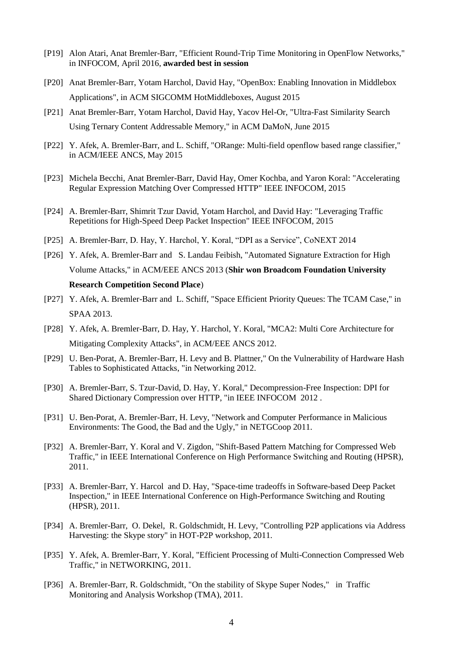- [P19] Alon Atari, Anat Bremler-Barr, "Efficient Round-Trip Time Monitoring in OpenFlow Networks," in INFOCOM, April 2016, **awarded best in session**
- [P20] Anat Bremler-Barr, Yotam Harchol, David Hay, "OpenBox: Enabling Innovation in Middlebox Applications", in ACM SIGCOMM HotMiddleboxes, August 2015
- [P21] Anat Bremler-Barr, Yotam Harchol, David Hay, Yacov Hel-Or, "Ultra-Fast Similarity Search Using Ternary Content Addressable Memory," in ACM DaMoN, June 2015
- [P22] Y. Afek, A. Bremler-Barr, and L. Schiff, "ORange: Multi-field openflow based range classifier," in ACM/IEEE ANCS, May 2015
- [P23] Michela Becchi, Anat Bremler-Barr, David Hay, Omer Kochba, and Yaron Koral: "Accelerating Regular Expression Matching Over Compressed HTTP" IEEE INFOCOM*,* 2015
- [P24] A. Bremler-Barr, Shimrit Tzur David, Yotam Harchol, and David Hay: "Leveraging Traffic Repetitions for High-Speed Deep Packet Inspection" IEEE INFOCOM*,* 2015
- [P25] A. Bremler-Barr, D. Hay, Y. Harchol, Y. Koral, "DPI as a Service", CoNEXT 2014
- [P26] Y. Afek, A. Bremler-Barr and S. Landau Feibish, "Automated Signature Extraction for High Volume Attacks," in ACM/EEE ANCS 2013 (**Shir won Broadcom Foundation University Research Competition Second Place**)
- [P27] Y. Afek, A. Bremler-Barr and L. Schiff, "Space Efficient Priority Queues: The TCAM Case," in SPAA 2013.
- [P28] Y. Afek, A. Bremler-Barr, D. Hay, Y. Harchol, Y. Koral, "MCA2: Multi Core Architecture for Mitigating Complexity Attacks", in ACM/EEE ANCS 2012.
- [P29] U. Ben-Porat, A. Bremler-Barr, H. Levy and B. Plattner," On the Vulnerability of Hardware Hash Tables to Sophisticated Attacks, "in Networking 2012.
- [P30] A. Bremler-Barr, S. Tzur-David, D. Hay, Y. Koral," Decompression-Free Inspection: DPI for Shared Dictionary Compression over HTTP, "in IEEE INFOCOM 2012 .
- [P31] U. Ben-Porat, A. Bremler-Barr, H. Levy, "Network and Computer Performance in Malicious Environments: The Good, the Bad and the Ugly," in NETGCoop 2011.
- [P32] A. Bremler-Barr, Y. Koral and V. Zigdon, "Shift-Based Pattern Matching for Compressed Web Traffic," in IEEE International Conference on High Performance Switching and Routing (HPSR), 2011.
- [P33] A. Bremler-Barr, Y. Harcol and D. Hay, "Space-time tradeoffs in Software-based Deep Packet Inspection," in IEEE International Conference on High-Performance Switching and Routing (HPSR), 2011.
- [P34] A. Bremler-Barr, O. Dekel, R. Goldschmidt, H. Levy, "Controlling P2P applications via Address Harvesting: the Skype story" in HOT-P2P workshop, 2011.
- [P35] Y. Afek, A. Bremler-Barr, Y. Koral, "Efficient Processing of Multi-Connection Compressed Web Traffic," in NETWORKING, 2011.
- [P36] A. Bremler-Barr, R. Goldschmidt, "On the stability of Skype Super Nodes," in Traffic Monitoring and Analysis Workshop (TMA), 2011.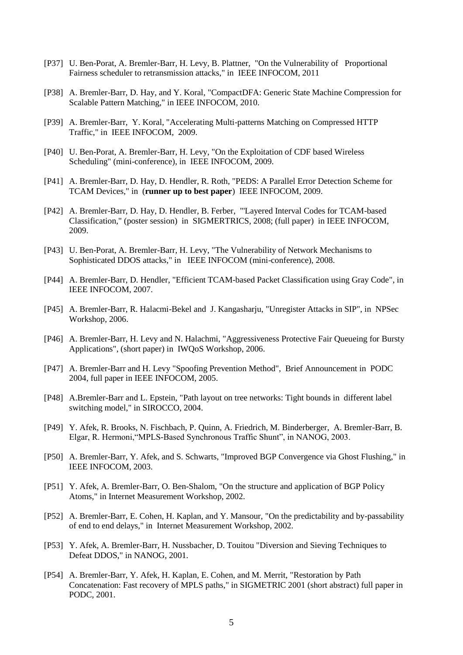- [P37] U. Ben-Porat, A. Bremler-Barr, H. Levy, B. Plattner, "On the Vulnerability of Proportional Fairness scheduler to retransmission attacks," in IEEE INFOCOM, 2011
- [P38] A. Bremler-Barr, D. Hay, and Y. Koral, "CompactDFA: Generic State Machine Compression for Scalable Pattern Matching," in IEEE INFOCOM, 2010.
- [P39] A. Bremler-Barr, Y. Koral, "Accelerating Multi-patterns Matching on Compressed HTTP Traffic," in IEEE INFOCOM, 2009.
- [P40] U. Ben-Porat, A. Bremler-Barr, H. Levy, "On the Exploitation of CDF based Wireless Scheduling" (mini-conference), in IEEE INFOCOM, 2009.
- [P41] A. Bremler-Barr, D. Hay, D. Hendler, R. Roth, "PEDS: A Parallel Error Detection Scheme for TCAM Devices," in (**runner up to best paper**) IEEE INFOCOM, 2009.
- [P42] A. Bremler-Barr, D. Hay, D. Hendler, B. Ferber, "'Layered Interval Codes for TCAM-based Classification," (poster session) in SIGMERTRICS, 2008; (full paper) in IEEE INFOCOM, 2009.
- [P43] U. Ben-Porat, A. Bremler-Barr, H. Levy, "The Vulnerability of Network Mechanisms to Sophisticated DDOS attacks," in IEEE INFOCOM (mini-conference), 2008.
- [P44] A. Bremler-Barr, D. Hendler, "Efficient TCAM-based Packet Classification using Gray Code", in IEEE INFOCOM, 2007.
- [P45] A. Bremler-Barr, R. Halacmi-Bekel and J. Kangasharju, "Unregister Attacks in SIP", in NPSec Workshop, 2006.
- [P46] A. Bremler-Barr, H. Levy and N. Halachmi, "Aggressiveness Protective Fair Queueing for Bursty Applications", (short paper) in IWQoS Workshop, 2006.
- [P47] A. Bremler-Barr and H. Levy "Spoofing Prevention Method", Brief Announcement in PODC 2004, full paper in IEEE INFOCOM, 2005.
- [P48] A.Bremler-Barr and L. Epstein, "Path layout on tree networks: Tight bounds in different label switching model," in SIROCCO, 2004.
- [P49] Y. Afek, R. Brooks, N. Fischbach, P. Quinn, A. Friedrich, M. Binderberger, A. Bremler-Barr, B. Elgar, R. Hermoni,"MPLS-Based Synchronous Traffic Shunt", in NANOG, 2003.
- [P50] A. Bremler-Barr, Y. Afek, and S. Schwarts, "Improved BGP Convergence via Ghost Flushing," in IEEE INFOCOM, 2003.
- [P51] Y. Afek, A. Bremler-Barr, O. Ben-Shalom, "On the structure and application of BGP Policy Atoms," in Internet Measurement Workshop, 2002.
- [P52] A. Bremler-Barr, E. Cohen, H. Kaplan, and Y. Mansour, "On the predictability and by-passability of end to end delays," in Internet Measurement Workshop, 2002.
- [P53] Y. Afek, A. Bremler-Barr, H. Nussbacher, D. Touitou "Diversion and Sieving Techniques to Defeat DDOS," in NANOG, 2001.
- [P54] A. Bremler-Barr, Y. Afek, H. Kaplan, E. Cohen, and M. Merrit, "Restoration by Path Concatenation: Fast recovery of MPLS paths," in SIGMETRIC 2001 (short abstract) full paper in PODC, 2001.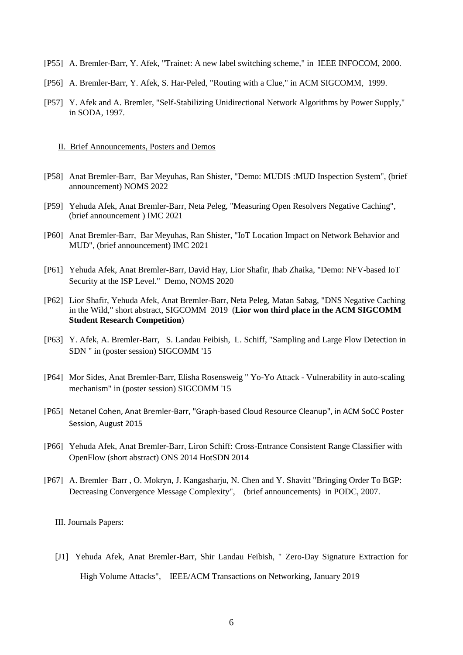- [P55] A. Bremler-Barr, Y. Afek, "Trainet: A new label switching scheme," in IEEE INFOCOM, 2000.
- [P56] A. Bremler-Barr, Y. Afek, S. Har-Peled, "Routing with a Clue," in ACM SIGCOMM, 1999.
- [P57] Y. Afek and A. Bremler, "Self-Stabilizing Unidirectional Network Algorithms by Power Supply," in SODA, 1997.

#### II. Brief Announcements, Posters and Demos

- [P58] Anat Bremler-Barr, Bar Meyuhas, Ran Shister, "Demo: MUDIS :MUD Inspection System", (brief announcement) NOMS 2022
- [P59] Yehuda Afek, Anat Bremler-Barr, Neta Peleg, "Measuring Open Resolvers Negative Caching", (brief announcement ) IMC 2021
- [P60] Anat Bremler-Barr, Bar Meyuhas, Ran Shister, "IoT Location Impact on Network Behavior and MUD", (brief announcement) IMC 2021
- [P61] Yehuda Afek, Anat Bremler-Barr, David Hay, Lior Shafir, Ihab Zhaika, "Demo: NFV-based IoT Security at the ISP Level." Demo, NOMS 2020
- [P62] Lior Shafir, Yehuda Afek, Anat Bremler-Barr, Neta Peleg, Matan Sabag, "DNS Negative Caching in the Wild," short abstract, SIGCOMM 2019 (**Lior won third place in the ACM SIGCOMM Student Research Competition**)
- [P63] Y. Afek, A. Bremler-Barr, S. Landau Feibish, L. Schiff, "Sampling and Large Flow Detection in SDN " in (poster session) SIGCOMM '15
- [P64] Mor Sides, Anat Bremler-Barr, Elisha Rosensweig " Yo-Yo Attack Vulnerability in auto-scaling mechanism" in (poster session) SIGCOMM '15
- [P65] Netanel Cohen, Anat Bremler-Barr, "Graph-based Cloud Resource Cleanup", in ACM SoCC Poster Session, August 2015
- [P66] Yehuda Afek, Anat Bremler-Barr, Liron Schiff: Cross-Entrance Consistent Range Classifier with OpenFlow (short abstract) ONS 2014 HotSDN 2014
- [P67] A. Bremler–Barr , O. Mokryn, J. Kangasharju, N. Chen and Y. Shavitt "Bringing Order To BGP: Decreasing Convergence Message Complexity", (brief announcements) in PODC, 2007.

### III. Journals Papers:

[J1] Yehuda Afek, Anat Bremler-Barr, Shir Landau Feibish, " Zero-Day Signature Extraction for High Volume Attacks", IEEE/ACM Transactions on Networking, January 2019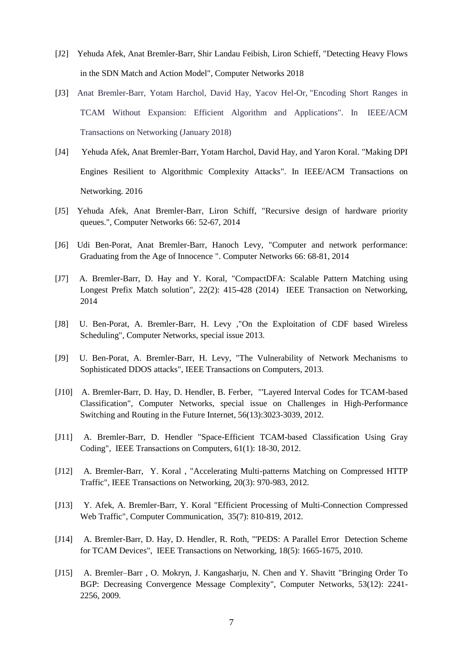- [J2] Yehuda Afek, Anat Bremler-Barr, Shir Landau Feibish, Liron Schieff, "Detecting Heavy Flows in the SDN Match and Action Model", Computer Networks 2018
- [J3] Anat Bremler-Barr, Yotam Harchol, David Hay, Yacov Hel-Or, "Encoding Short Ranges in TCAM Without Expansion: Efficient Algorithm and Applications". In IEEE/ACM Transactions on Networking (January 2018)
- [J4] Yehuda Afek, Anat Bremler-Barr, Yotam Harchol, David Hay, and Yaron Koral. "Making DPI Engines Resilient to Algorithmic Complexity Attacks". In IEEE/ACM Transactions on Networking. 2016
- [J5] Yehuda Afek, Anat Bremler-Barr, Liron Schiff, "Recursive design of hardware priority queues.", Computer Networks 66: 52-67, 2014
- [J6] Udi Ben-Porat, Anat Bremler-Barr, Hanoch Levy, "Computer and network performance: Graduating from the Age of Innocence ". Computer Networks 66: 68-81, 2014
- [J7] A. Bremler-Barr, D. Hay and Y. Koral, "CompactDFA: Scalable Pattern Matching using Longest Prefix Match solution", 22(2): 415-428 (2014) IEEE Transaction on Networking, 2014
- [J8] U. Ben-Porat, A. Bremler-Barr, H. Levy ,"On the Exploitation of CDF based Wireless Scheduling", Computer Networks, special issue 2013.
- [J9] U. Ben-Porat, A. Bremler-Barr, H. Levy, "The Vulnerability of Network Mechanisms to Sophisticated DDOS attacks", IEEE Transactions on Computers, 2013.
- [J10] A. Bremler-Barr, D. Hay, D. Hendler, B. Ferber, "'Layered Interval Codes for TCAM-based Classification", Computer Networks, special issue on Challenges in High-Performance Switching and Routing in the Future Internet, 56(13):3023-3039, 2012.
- [J11] A. Bremler-Barr, D. Hendler "Space-Efficient TCAM-based Classification Using Gray Coding", IEEE Transactions on Computers, 61(1): 18-30, 2012.
- [J12] A. Bremler-Barr, Y. Koral , "Accelerating Multi-patterns Matching on Compressed HTTP Traffic", IEEE Transactions on Networking, 20(3): 970-983, 2012.
- [J13] Y. Afek, A. Bremler-Barr, Y. Koral "Efficient Processing of Multi-Connection Compressed Web Traffic", Computer Communication, 35(7): 810-819, 2012.
- [J14] A. Bremler-Barr, D. Hay, D. Hendler, R. Roth, "'PEDS: A Parallel Error Detection Scheme for TCAM Devices", IEEE Transactions on Networking, 18(5): 1665-1675, 2010.
- [J15] A. Bremler–Barr , O. Mokryn, J. Kangasharju, N. Chen and Y. Shavitt "Bringing Order To BGP: Decreasing Convergence Message Complexity", Computer Networks, 53(12): 2241- 2256, 2009.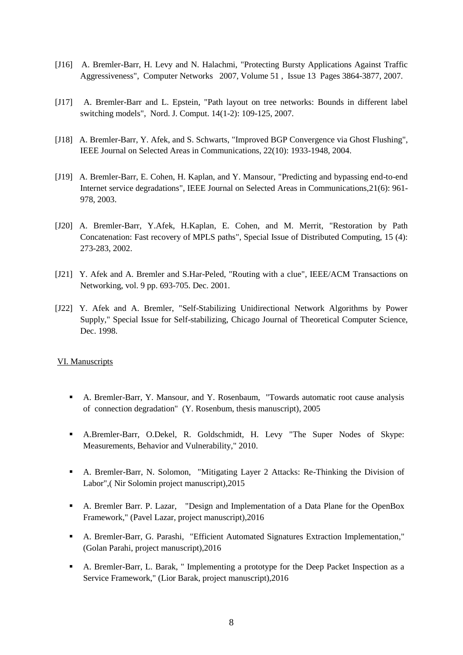- [J16] A. Bremler-Barr, H. Levy and N. Halachmi, "Protecting Bursty Applications Against Traffic Aggressiveness", Computer Networks 2007, Volume 51 , Issue 13 Pages 3864-3877, 2007.
- [J17] A. Bremler-Barr and L. Epstein, "Path layout on tree networks: Bounds in different label switching models", Nord. J. Comput. 14(1-2): 109-125, 2007.
- [J18] A. Bremler-Barr, Y. Afek, and S. Schwarts, "Improved BGP Convergence via Ghost Flushing", IEEE Journal on Selected Areas in Communications, 22(10): 1933-1948, 2004.
- [J19] A. Bremler-Barr, E. Cohen, H. Kaplan, and Y. Mansour, "Predicting and bypassing end-to-end Internet service degradations", IEEE Journal on Selected Areas in Communications,21(6): 961- 978, 2003.
- [J20] A. Bremler-Barr, Y.Afek, H.Kaplan, E. Cohen, and M. Merrit, "Restoration by Path Concatenation: Fast recovery of MPLS paths", Special Issue of Distributed Computing, 15 (4): 273-283, 2002.
- [J21] Y. Afek and A. Bremler and S.Har-Peled, "Routing with a clue", IEEE/ACM Transactions on Networking, vol. 9 pp. 693-705. Dec. 2001.
- [J22] Y. Afek and A. Bremler, "Self-Stabilizing Unidirectional Network Algorithms by Power Supply," Special Issue for Self-stabilizing, Chicago Journal of Theoretical Computer Science, Dec. 1998.

#### VI. Manuscripts

- A. Bremler-Barr, Y. Mansour, and Y. Rosenbaum, "Towards automatic root cause analysis of connection degradation" (Y. Rosenbum, thesis manuscript), 2005
- A.Bremler-Barr, O.Dekel, R. Goldschmidt, H. Levy "The Super Nodes of Skype: Measurements, Behavior and Vulnerability," 2010.
- A. Bremler-Barr, N. Solomon, "Mitigating Layer 2 Attacks: Re-Thinking the Division of Labor",( Nir Solomin project manuscript),2015
- A. Bremler Barr. P. Lazar, "Design and Implementation of a Data Plane for the OpenBox Framework," (Pavel Lazar, project manuscript),2016
- A. Bremler-Barr, G. Parashi, "Efficient Automated Signatures Extraction Implementation," (Golan Parahi, project manuscript),2016
- A. Bremler-Barr, L. Barak, " Implementing a prototype for the Deep Packet Inspection as a Service Framework," (Lior Barak, project manuscript),2016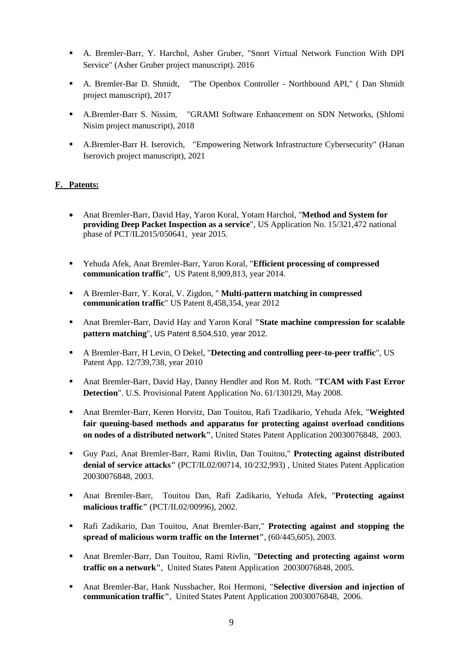- A. Bremler-Barr, Y. Harchol, Asher Gruber, "Snort Virtual Network Function With DPI Service" (Asher Gruber project manuscript). 2016
- A. Bremler-Bar D. Shmidt, "The Openbox Controller Northbound API," ( Dan Shmidt project manuscript), 2017
- A.Bremler-Barr S. Nissim, "GRAMI Software Enhancement on SDN Networks, (Shlomi Nisim project manuscript), 2018
- A.Bremler-Barr H. Iserovich, "Empowering Network Infrastructure Cybersecurity" (Hanan Iserovich project manuscript), 2021

# **F. Patents:**

- Anat Bremler-Barr, David Hay, Yaron Koral, Yotam Harchol, "**Method and System for providing Deep Packet Inspection as a service**", US Application No. 15/321,472 national phase of PCT/IL2015/050641, year 2015.
- Yehuda Afek, Anat Bremler-Barr, Yaron Koral, "**Efficient processing of compressed communication traffic**", US Patent 8,909,813, year 2014.
- A Bremler-Barr, Y. Koral, V. Zigdon, " **Multi-pattern matching in compressed communication traffic**" US Patent 8,458,354, year 2012
- Anat Bremler-Barr, David Hay and Yaron Koral **"State machine compression for scalable pattern matching**", US Patent 8,504,510, year 2012.
- A Bremler-Barr, H Levin, O Dekel, "**[Detecting and controlling peer-to-peer traffic](javascript:void(0))**", US Patent App. 12/739,738, year 2010
- Anat Bremler-Barr, David Hay, Danny Hendler and Ron M. Roth. "**TCAM with Fast Error Detection**". U.S. Provisional Patent Application No. 61/130129, May 2008.
- Anat Bremler-Barr, Keren Horvitz, Dan Touitou, Rafi Tzadikario, Yehuda Afek, "**Weighted fair queuing-based methods and apparatus for protecting against overload conditions on nodes of a distributed network"**, United States Patent Application 20030076848, 2003.
- Guy Pazi, Anat Bremler-Barr, Rami Rivlin, Dan Touitou," **Protecting against distributed denial of service attacks"** (PCT/IL02/00714, 10/232,993) , United States Patent Application 20030076848, 2003.
- Anat Bremler-Barr, Touitou Dan, Rafi Zadikario, Yehuda Afek, "**Protecting against malicious traffic"** (PCT/IL02/00996), 2002.
- Rafi Zadikario, Dan Touitou, Anat Bremler-Barr," **Protecting against and stopping the spread of malicious worm traffic on the Internet"**, (60/445,605), 2003.
- Anat Bremler-Barr, Dan Touitou, Rami Rivlin, "**Detecting and protecting against worm traffic on a network"**, United States Patent Application 20030076848, 2005.
- Anat Bremler-Bar, Hank Nussbacher, Roi Hermoni, "**Selective diversion and injection of communication traffic"**, United States Patent Application 20030076848, 2006.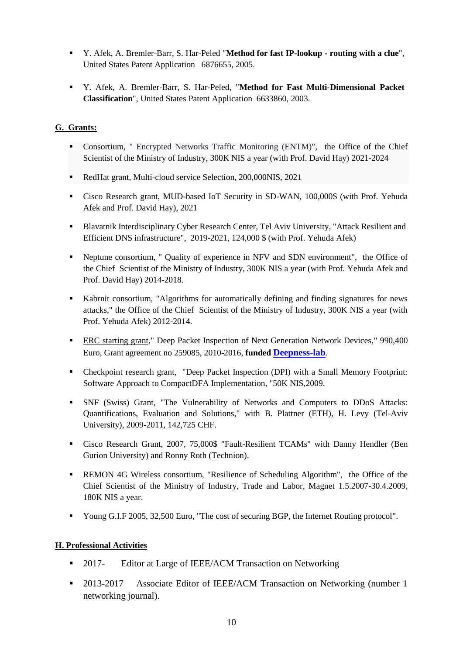- Y. Afek, A. Bremler-Barr, S. Har-Peled "**Method for fast IP-lookup - routing with a clue**", United States Patent Application 6876655, 2005.
- Y. Afek, A. Bremler-Barr, S. Har-Peled, "**Method for Fast Multi-Dimensional Packet Classification**", United States Patent Application 6633860, 2003.

# **G. Grants:**

- Consortium, " Encrypted Networks Traffic Monitoring (ENTM)", the Office of the Chief Scientist of the Ministry of Industry, 300K NIS a year (with Prof. David Hay) 2021-2024
- RedHat grant, Multi-cloud service Selection, 200,000NIS, 2021
- Cisco Research grant, MUD-based IoT Security in SD-WAN, 100,000\$ (with Prof. Yehuda Afek and Prof. David Hay), 2021
- Blavatnik Interdisciplinary Cyber Research Center, Tel Aviv University, "Attack Resilient and Efficient DNS infrastructure", 2019-2021, 124,000 \$ (with Prof. Yehuda Afek)
- Neptune consortium, " Quality of experience in NFV and SDN environment", the Office of the Chief Scientist of the Ministry of Industry, 300K NIS a year (with Prof. Yehuda Afek and Prof. David Hay) 2014-2018.
- Kabrnit consortium, "Algorithms for automatically defining and finding signatures for news attacks," the Office of the Chief Scientist of the Ministry of Industry, 300K NIS a year (with Prof. Yehuda Afek) 2012-2014.
- ERC starting grant," Deep Packet Inspection of Next Generation Network Devices," 990,400 Euro, Grant agreement no 259085, 2010-2016, **funded [Deepness-lab](http://www.deepness-lab.org/)**.
- Checkpoint research grant, "Deep Packet Inspection (DPI) with a Small Memory Footprint: Software Approach to CompactDFA Implementation, "50K NIS,2009.
- SNF (Swiss) Grant, "The Vulnerability of Networks and Computers to DDoS Attacks: Quantifications, Evaluation and Solutions," with B. Plattner (ETH), H. Levy (Tel-Aviv University), 2009-2011, 142,725 CHF.
- Cisco Research Grant, 2007, 75,000\$ "Fault-Resilient TCAMs" with Danny Hendler (Ben Gurion University) and Ronny Roth (Technion).
- REMON 4G Wireless consortium, "Resilience of Scheduling Algorithm", the Office of the Chief Scientist of the Ministry of Industry, Trade and Labor, Magnet 1.5.2007-30.4.2009, 180K NIS a year.
- Young G.I.F 2005, 32,500 Euro, "The cost of securing BGP, the Internet Routing protocol".

# **H. Professional Activities**

- 2017- Editor at Large of IEEE/ACM Transaction on Networking
- **2013-2017** Associate Editor of IEEE/ACM Transaction on Networking (number 1 networking journal).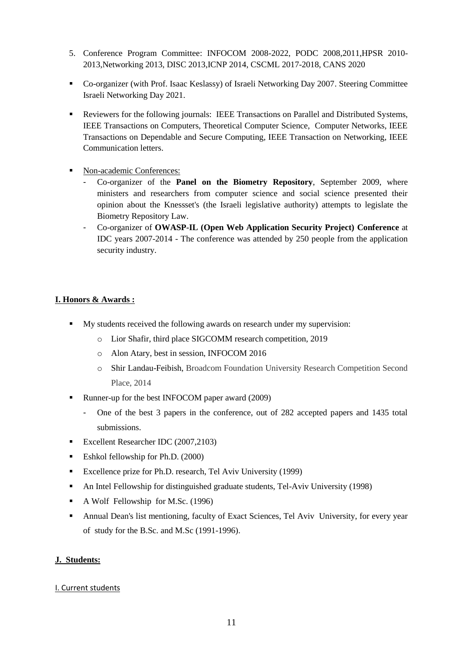- 5. Conference Program Committee: INFOCOM 2008-2022, PODC 2008,2011,HPSR 2010- 2013,Networking 2013, DISC 2013,ICNP 2014, CSCML 2017-2018, CANS 2020
- Co-organizer (with Prof. Isaac Keslassy) of Israeli Networking Day 2007. Steering Committee Israeli Networking Day 2021.
- Reviewers for the following journals: IEEE Transactions on Parallel and Distributed Systems, IEEE Transactions on Computers, Theoretical Computer Science, Computer Networks, IEEE Transactions on Dependable and Secure Computing, IEEE Transaction on Networking, IEEE Communication letters.
- Non-academic Conferences:
	- Co-organizer of the **Panel on the Biometry Repository**, September 2009, where ministers and researchers from computer science and social science presented their opinion about the Knessset's (the Israeli legislative authority) attempts to legislate the Biometry Repository Law.
	- Co-organizer of **OWASP-IL (Open Web Application Security Project) Conference** at IDC years 2007-2014 - The conference was attended by 250 people from the application security industry.

# **I. Honors & Awards :**

- My students received the following awards on research under my supervision:
	- o Lior Shafir, third place SIGCOMM research competition, 2019
	- o Alon Atary, best in session, INFOCOM 2016
	- o Shir Landau-Feibish, Broadcom Foundation University Research Competition Second Place, 2014
- Runner-up for the best INFOCOM paper award (2009)
	- One of the best 3 papers in the conference, out of 282 accepted papers and 1435 total submissions.
- Excellent Researcher IDC (2007,2103)
- Eshkol fellowship for Ph.D. (2000)
- Excellence prize for Ph.D. research, Tel Aviv University (1999)
- An Intel Fellowship for distinguished graduate students, Tel-Aviv University (1998)
- A Wolf Fellowship for M.Sc.  $(1996)$
- Annual Dean's list mentioning, faculty of Exact Sciences, Tel Aviv University, for every year of study for the B.Sc. and M.Sc (1991-1996).

# **J. Students:**

# I. Current students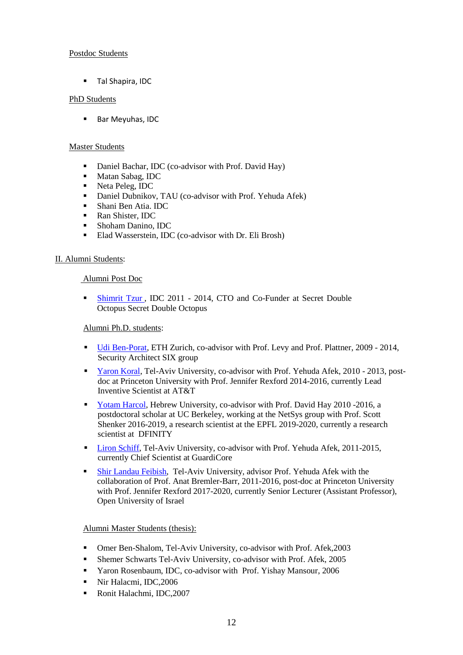# Postdoc Students

**Tal Shapira, IDC** 

# PhD Students

**Bar Meyuhas, IDC** 

### Master Students

- Daniel Bachar, IDC (co-advisor with Prof. David Hay)
- **Matan Sabag, IDC**
- Neta Peleg, IDC
- Daniel Dubnikov, TAU (co-advisor with Prof. Yehuda Afek)
- Shani Ben Atia. IDC
- Ran Shister, IDC
- Shoham Danino, IDC
- Elad Wasserstein, IDC (co-advisor with Dr. Eli Brosh)

# II. Alumni Students:

# Alumni Post Doc

 [Shimrit Tzur](https://www.linkedin.com/in/shimrit-tzur-david-7129b34/) , IDC 2011 - 2014, CTO and Co-Funder at Secret Double Octopus Secret Double Octopus

# Alumni Ph.D. students:

- [Udi Ben-Porat,](https://www.linkedin.com/in/ehud-udi-ben-porat-42850815/) ETH Zurich, co-advisor with Prof. Levy and Prof. Plattner, 2009 2014, Security Architect SIX group
- [Yaron Koral,](https://www.linkedin.com/in/yaron-koral-86ab39/) Tel-Aviv University, co-advisor with Prof. Yehuda Afek, 2010 2013, postdoc at Princeton University with Prof. Jennifer Rexford 2014-2016, currently Lead Inventive Scientist at AT&T
- [Yotam Harcol,](http://www.yotamharchol.com/) Hebrew University, co-advisor with Prof. David Hay 2010 -2016, a postdoctoral scholar at UC Berkeley, working at the NetSys group with Prof. Scott Shenker 2016-2019, a research scientist at the EPFL 2019-2020, currently a research scientist at [DFINITY](https://dfinity.org/)
- **[Liron Schiff,](https://www.linkedin.com/in/liron-schiff-5015b533/?trk=pub-pbmap) Tel-Aviv University, co-advisor with Prof. Yehuda Afek, 2011-2015,** currently Chief Scientist at GuardiCore
- [Shir Landau Feibish,](https://www.openu.ac.il/personal_sites/shir-landau-feibish/) Tel-Aviv University, advisor Prof. Yehuda Afek with the collaboration of Prof. Anat Bremler-Barr, 2011-2016, post-doc at Princeton University with Prof. Jennifer Rexford 2017-2020, currently Senior Lecturer (Assistant Professor), Open University of Israel

### Alumni Master Students (thesis):

- Omer Ben-Shalom, Tel-Aviv University, co-advisor with Prof. Afek,2003
- Shemer Schwarts Tel-Aviv University, co-advisor with Prof. Afek, 2005
- Yaron Rosenbaum, IDC, co-advisor with Prof. Yishay Mansour, 2006
- Nir Halacmi, IDC, 2006
- Ronit Halachmi, IDC, 2007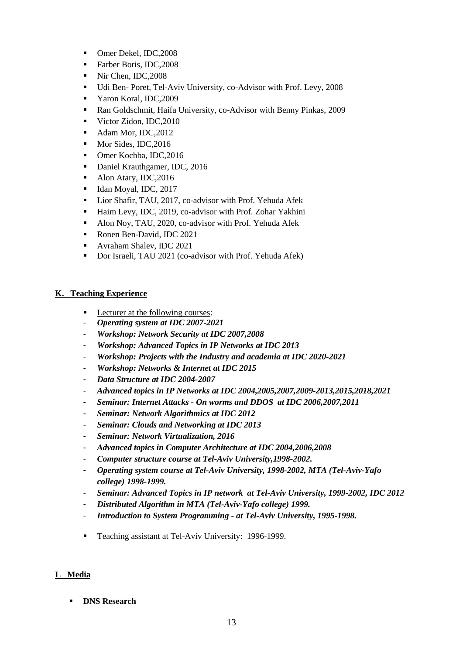- Omer Dekel, IDC, 2008
- Farber Boris, IDC, 2008
- Nir Chen, IDC, 2008
- Udi Ben- Poret, Tel-Aviv University, co-Advisor with Prof. Levy, 2008
- Yaron Koral, IDC,2009
- Ran Goldschmit, Haifa University, co-Advisor with Benny Pinkas, 2009
- Victor Zidon, IDC, 2010
- Adam Mor, IDC, 2012
- Mor Sides, IDC, 2016
- Omer Kochba, IDC,2016
- Daniel Krauthgamer, IDC, 2016
- Alon Atary, IDC, 2016
- $\blacksquare$  Idan Moyal, IDC, 2017
- **Lior Shafir, TAU, 2017, co-advisor with Prof. Yehuda Afek**
- Haim Levy, IDC, 2019, co-advisor with Prof. Zohar Yakhini
- Alon Noy, TAU, 2020, co-advisor with Prof. Yehuda Afek
- Ronen Ben-David, IDC 2021
- **Avraham Shalev, IDC 2021**
- Dor Israeli, TAU 2021 (co-advisor with Prof. Yehuda Afek)

# **K. Teaching Experience**

- Lecturer at the following courses:
- *Operating system at IDC 2007-2021*
- *Workshop: Network Security at IDC 2007,2008*
- *Workshop: Advanced Topics in IP Networks at IDC 2013*
- *Workshop: Projects with the Industry and academia at IDC 2020-2021*
- *Workshop: Networks & Internet at IDC 2015*
- *Data Structure at IDC 2004-2007*
- *Advanced topics in IP Networks at IDC 2004,2005,2007,2009-2013,2015,2018,2021*
- *Seminar: Internet Attacks - On worms and DDOS at IDC 2006,2007,2011*
- *Seminar: Network Algorithmics at IDC 2012*
- *Seminar: Clouds and Networking at IDC 2013*
- *Seminar: Network Virtualization, 2016*
- *Advanced topics in Computer Architecture at IDC 2004,2006,2008*
- *Computer structure course at Tel-Aviv University,1998-2002.*
- *Operating system course at Tel-Aviv University, 1998-2002, MTA (Tel-Aviv-Yafo college) 1998-1999.*
- *Seminar: Advanced Topics in IP network at Tel-Aviv University, 1999-2002, IDC 2012*
- *Distributed Algorithm in MTA (Tel-Aviv-Yafo college) 1999.*
- *Introduction to System Programming - at Tel-Aviv University, 1995-1998.*
- Teaching assistant at Tel-Aviv University: 1996-1999.

# **L Media**

**DNS Research**